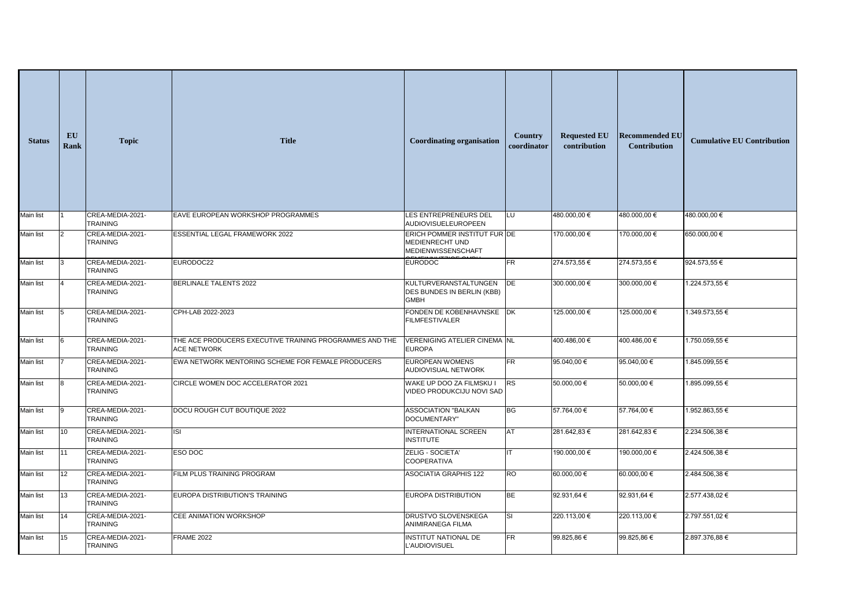| <b>Status</b>    | EU<br><b>Rank</b> | <b>Topic</b>                        | <b>Title</b>                                                                  | <b>Coordinating organisation</b>                                             | <b>Country</b><br>coordinator | <b>Requested EU</b><br>contribution | <b>Recommended EU</b><br>Contribution | <b>Cumulative EU Contribution</b> |
|------------------|-------------------|-------------------------------------|-------------------------------------------------------------------------------|------------------------------------------------------------------------------|-------------------------------|-------------------------------------|---------------------------------------|-----------------------------------|
| <b>Main list</b> |                   | CREA-MEDIA-2021-<br><b>TRAINING</b> | EAVE EUROPEAN WORKSHOP PROGRAMMES                                             | <b>LES ENTREPRENEURS DEL</b><br>AUDIOVISUELEUROPEEN                          | LU                            | 480.000,00 €                        | 480.000,00 €                          | 480.000,00 €                      |
| <b>Main list</b> |                   | CREA-MEDIA-2021-<br><b>TRAINING</b> | ESSENTIAL LEGAL FRAMEWORK 2022                                                | ERICH POMMER INSTITUT FUR DE<br><b>MEDIENRECHT UND</b><br>MEDIENWISSENSCHAFT |                               | 170.000,00 €                        | 170.000,00 €                          | 650.000,00 €                      |
| <b>Main list</b> |                   | CREA-MEDIA-2021-<br><b>TRAINING</b> | EURODOC22                                                                     | <b>EURODOC</b>                                                               | $\overline{\mathsf{FR}}$      | 274.573,55 €                        | 274.573,55€                           | 924.573,55€                       |
| Main list        |                   | CREA-MEDIA-2021-<br><b>TRAINING</b> | <b>BERLINALE TALENTS 2022</b>                                                 | <b>KULTURVERANSTALTUNGEN</b><br>DES BUNDES IN BERLIN (KBB)<br><b>GMBH</b>    | <b>DE</b>                     | 300.000,00 €                        | 300.000,00 €                          | 1.224.573,55 €                    |
| <b>Main list</b> |                   | CREA-MEDIA-2021-<br><b>TRAINING</b> | CPH-LAB 2022-2023                                                             | FONDEN DE KOBENHAVNSKE DK<br><b>FILMFESTIVALER</b>                           |                               | 125.000,00 €                        | 125.000,00 €                          | 1.349.573,55 €                    |
| Main list        |                   | CREA-MEDIA-2021-<br><b>TRAINING</b> | THE ACE PRODUCERS EXECUTIVE TRAINING PROGRAMMES AND THE<br><b>ACE NETWORK</b> | VERENIGING ATELIER CINEMA NL<br><b>EUROPA</b>                                |                               | 400.486,00 €                        | 400.486,00 €                          | 1.750.059,55 €                    |
| <b>Main list</b> |                   | CREA-MEDIA-2021-<br><b>TRAINING</b> | EWA NETWORK MENTORING SCHEME FOR FEMALE PRODUCERS                             | <b>EUROPEAN WOMENS</b><br>AUDIOVISUAL NETWORK                                | <b>FR</b>                     | 95.040,00 €                         | 95.040,00 €                           | 1.845.099,55 €                    |
| Main list        |                   | CREA-MEDIA-2021-<br><b>TRAINING</b> | CIRCLE WOMEN DOC ACCELERATOR 2021                                             | WAKE UP DOO ZA FILMSKU I<br>VIDEO PRODUKCIJU NOVI SAD                        | <b>RS</b>                     | 50.000,00 €                         | 50.000,00 €                           | 1.895.099,55 €                    |
| Main list        |                   | CREA-MEDIA-2021-<br>TRAINING        | DOCU ROUGH CUT BOUTIQUE 2022                                                  | <b>ASSOCIATION "BALKAN</b><br>DOCUMENTARY"                                   | <b>BG</b>                     | 57.764,00 €                         | 57.764,00 €                           | 1.952.863,55 €                    |
| <b>Main list</b> | $\vert$ 10        | CREA-MEDIA-2021-<br>TRAINING        | $\overline{S}$                                                                | INTERNATIONAL SCREEN<br><b>INSTITUTE</b>                                     | <b>AT</b>                     | 281.642,83 €                        | 281.642,83€                           | 2.234.506,38 €                    |
| Main list        | $\vert$ 11        | CREA-MEDIA-2021-<br><b>TRAINING</b> | <b>ESO DOC</b>                                                                | ZELIG - SOCIETA'<br><b>COOPERATIVA</b>                                       |                               | 190.000,00 €                        | 190.000,00 €                          | 2.424.506,38 €                    |
| Main list        | 12                | CREA-MEDIA-2021-<br><b>TRAINING</b> | FILM PLUS TRAINING PROGRAM                                                    | <b>ASOCIATIA GRAPHIS 122</b>                                                 | RO                            | 60.000,00 €                         | 60.000,00 €                           | 2.484.506,38 €                    |
| Main list        | 13                | CREA-MEDIA-2021-<br>TRAINING        | EUROPA DISTRIBUTION'S TRAINING                                                | EUROPA DISTRIBUTION                                                          | <b>BE</b>                     | 92.931,64 €                         | 92.931,64 €                           | 2.577.438,02 €                    |
| Main list        | 14                | CREA-MEDIA-2021-<br><b>TRAINING</b> | <b>CEE ANIMATION WORKSHOP</b>                                                 | DRUSTVO SLOVENSKEGA<br>ANIMIRANEGA FILMA                                     | SI                            | 220.113,00 €                        | 220.113,00 €                          | 2.797.551,02 €                    |
| <b>Main list</b> | 15                | CREA-MEDIA-2021-<br>TRAINING        | <b>FRAME 2022</b>                                                             | INSTITUT NATIONAL DE<br>L'AUDIOVISUEL                                        | FR                            | 99.825,86€                          | 99.825,86€                            | 2.897.376,88 €                    |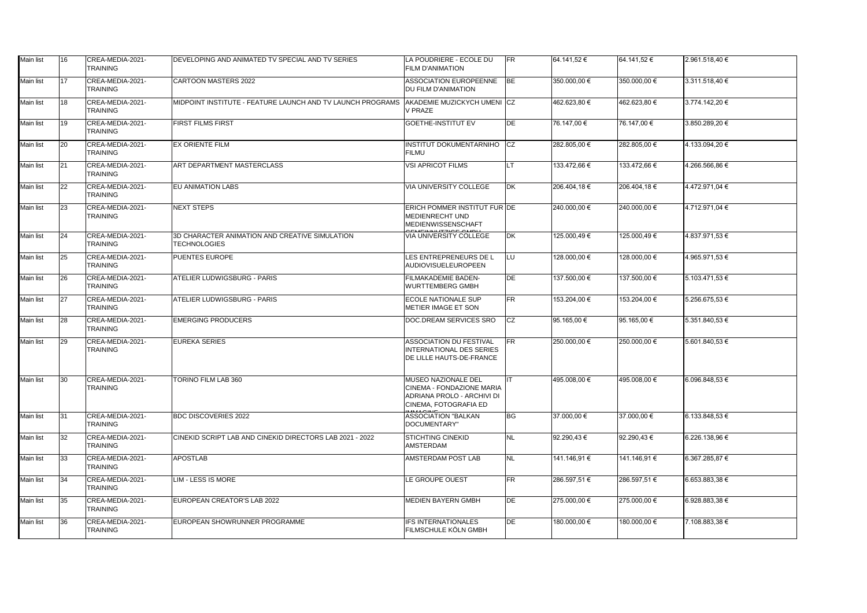| <b>Main list</b> | 16           | CREA-MEDIA-2021-<br><b>TRAINING</b> | DEVELOPING AND ANIMATED TV SPECIAL AND TV SERIES                                       | LA POUDRIERE - ECOLE DU<br><b>FILM D'ANIMATION</b>                                                                    | <b>FR</b>                         | 64.141,52 €  | 64.141,52 €  | 2.961.518,40 €     |
|------------------|--------------|-------------------------------------|----------------------------------------------------------------------------------------|-----------------------------------------------------------------------------------------------------------------------|-----------------------------------|--------------|--------------|--------------------|
| Main list        | 17           | CREA-MEDIA-2021-<br><b>TRAINING</b> | CARTOON MASTERS 2022                                                                   | ASSOCIATION EUROPEENNE<br><b>IDU FILM D'ANIMATION</b>                                                                 | <b>BE</b>                         | 350.000,00 € | 350.000,00 € | 3.311.518,40€      |
| Main list        | 18           | CREA-MEDIA-2021-<br><b>TRAINING</b> | MIDPOINT INSTITUTE - FEATURE LAUNCH AND TV LAUNCH PROGRAMS AKADEMIE MUZICKYCH UMENI CZ | <b>V PRAZE</b>                                                                                                        |                                   | 462.623,80 € | 462.623,80 € | 3.774.142,20 €     |
| Main list        | 19           | CREA-MEDIA-2021-<br><b>TRAINING</b> | <b>FIRST FILMS FIRST</b>                                                               | <b>GOETHE-INSTITUT EV</b>                                                                                             | DE                                | 76.147,00 €  | 76.147,00 €  | 3.850.289,20 €     |
| <b>Main list</b> | 20           | CREA-MEDIA-2021-<br><b>TRAINING</b> | <b>EX ORIENTE FILM</b>                                                                 | <b>INSTITUT DOKUMENTARNIHO</b><br><b>FILMU</b>                                                                        | CZ                                | 282.805,00 € | 282.805,00 € | 4.133.094,20 €     |
| Main list        | $ 21\rangle$ | CREA-MEDIA-2021-<br><b>TRAINING</b> | <b>ART DEPARTMENT MASTERCLASS</b>                                                      | <b>VSI APRICOT FILMS</b>                                                                                              | LT.                               | 133.472,66 € | 133.472,66 € | 4.266.566,86 €     |
| Main list        | $ 22\rangle$ | CREA-MEDIA-2021-<br><b>TRAINING</b> | <b>EU ANIMATION LABS</b>                                                               | <b>VIA UNIVERSITY COLLEGE</b>                                                                                         | $\overline{\mathsf{D}\mathsf{K}}$ | 206.404,18€  | 206.404,18€  | 4.472.971,04 €     |
| Main list        | 23           | CREA-MEDIA-2021-<br><b>TRAINING</b> | <b>NEXT STEPS</b>                                                                      | ERICH POMMER INSTITUT FUR DE<br><b>MEDIENRECHT UND</b><br><b>MEDIENWISSENSCHAFT</b>                                   |                                   | 240.000,00 € | 240.000,00 € | 4.712.971,04 €     |
| Main list        | 24           | CREA-MEDIA-2021-<br><b>TRAINING</b> | 3D CHARACTER ANIMATION AND CREATIVE SIMULATION<br><b>TECHNOLOGIES</b>                  | <b>VIA UNIVERSITY COLLEGE</b>                                                                                         | DK                                | 125.000,49 € | 125.000,49 € | 4.837.971,53 €     |
| Main list        | 25           | CREA-MEDIA-2021-<br><b>TRAINING</b> | <b>PUENTES EUROPE</b>                                                                  | LES ENTREPRENEURS DE L<br>AUDIOVISUELEUROPEEN                                                                         | LU                                | 128.000,00 € | 128.000,00 € | 4.965.971,53 €     |
| Main list        | 26           | CREA-MEDIA-2021-<br><b>TRAINING</b> | <b>ATELIER LUDWIGSBURG - PARIS</b>                                                     | <b>FILMAKADEMIE BADEN-</b><br><b>WURTTEMBERG GMBH</b>                                                                 | DE                                | 137.500,00 € | 137.500,00 € | $5.103.471,53 \in$ |
| Main list        | 27           | CREA-MEDIA-2021-<br><b>TRAINING</b> | <b>ATELIER LUDWIGSBURG - PARIS</b>                                                     | <b>ECOLE NATIONALE SUP</b><br>METIER IMAGE ET SON                                                                     | $\overline{\mathsf{FR}}$          | 153.204,00 € | 153.204,00 € | 5.256.675,53 €     |
| Main list        | 28           | CREA-MEDIA-2021-<br><b>TRAINING</b> | <b>EMERGING PRODUCERS</b>                                                              | DOC.DREAM SERVICES SRO                                                                                                | CZ                                | 95.165,00 €  | 95.165,00 €  | 5.351.840,53 €     |
| Main list        | 29           | CREA-MEDIA-2021-<br><b>TRAINING</b> | EUREKA SERIES                                                                          | <b>ASSOCIATION DU FESTIVAL</b><br>INTERNATIONAL DES SERIES<br><b>DE LILLE HAUTS-DE-FRANCE</b>                         | $\overline{\mathsf{FR}}$          | 250.000,00 € | 250.000,00 € | 5.601.840,53 €     |
| <b>Main list</b> | 30           | CREA-MEDIA-2021-<br><b>TRAINING</b> | TORINO FILM LAB 360                                                                    | MUSEO NAZIONALE DEL<br><b>CINEMA - FONDAZIONE MARIA</b><br>ADRIANA PROLO - ARCHIVI DI<br><b>CINEMA, FOTOGRAFIA ED</b> |                                   | 495.008,00 € | 495.008,00 € | 6.096.848,53€      |
| Main list        | 31           | CREA-MEDIA-2021-<br><b>TRAINING</b> | <b>BDC DISCOVERIES 2022</b>                                                            | <b>ASSOCIATION "BALKAN</b><br>DOCUMENTARY"                                                                            | <b>BG</b>                         | 37.000,00 €  | 37.000,00 €  | 6.133.848,53 €     |
| Main list        | 32           | CREA-MEDIA-2021-<br><b>TRAINING</b> | CINEKID SCRIPT LAB AND CINEKID DIRECTORS LAB 2021 - 2022                               | <b>STICHTING CINEKID</b><br>AMSTERDAM                                                                                 | <b>NL</b>                         | 92.290,43€   | 92.290,43€   | 6.226.138,96 €     |
| <b>Main list</b> | 33           | CREA-MEDIA-2021-<br><b>TRAINING</b> | <b>APOSTLAB</b>                                                                        | AMSTERDAM POST LAB                                                                                                    | <b>NL</b>                         | 141.146,91 € | 141.146,91 € | 6.367.285,87 €     |
| Main list        | 34           | CREA-MEDIA-2021-<br><b>TRAINING</b> | LIM - LESS IS MORE                                                                     | LE GROUPE OUEST                                                                                                       | <b>FR</b>                         | 286.597,51 € | 286.597,51 € | 6.653.883,38 €     |
| Main list        | 35           | CREA-MEDIA-2021-<br><b>TRAINING</b> | EUROPEAN CREATOR'S LAB 2022                                                            | MEDIEN BAYERN GMBH                                                                                                    | DE                                | 275.000,00 € | 275.000,00 € | 6.928.883,38 €     |
| Main list        | 36           | CREA-MEDIA-2021-<br>TRAINING        | EUROPEAN SHOWRUNNER PROGRAMME                                                          | <b>IFS INTERNATIONALES</b><br>FILMSCHULE KÖLN GMBH                                                                    | DE                                | 180.000,00 € | 180.000,00 € | 7.108.883,38 €     |